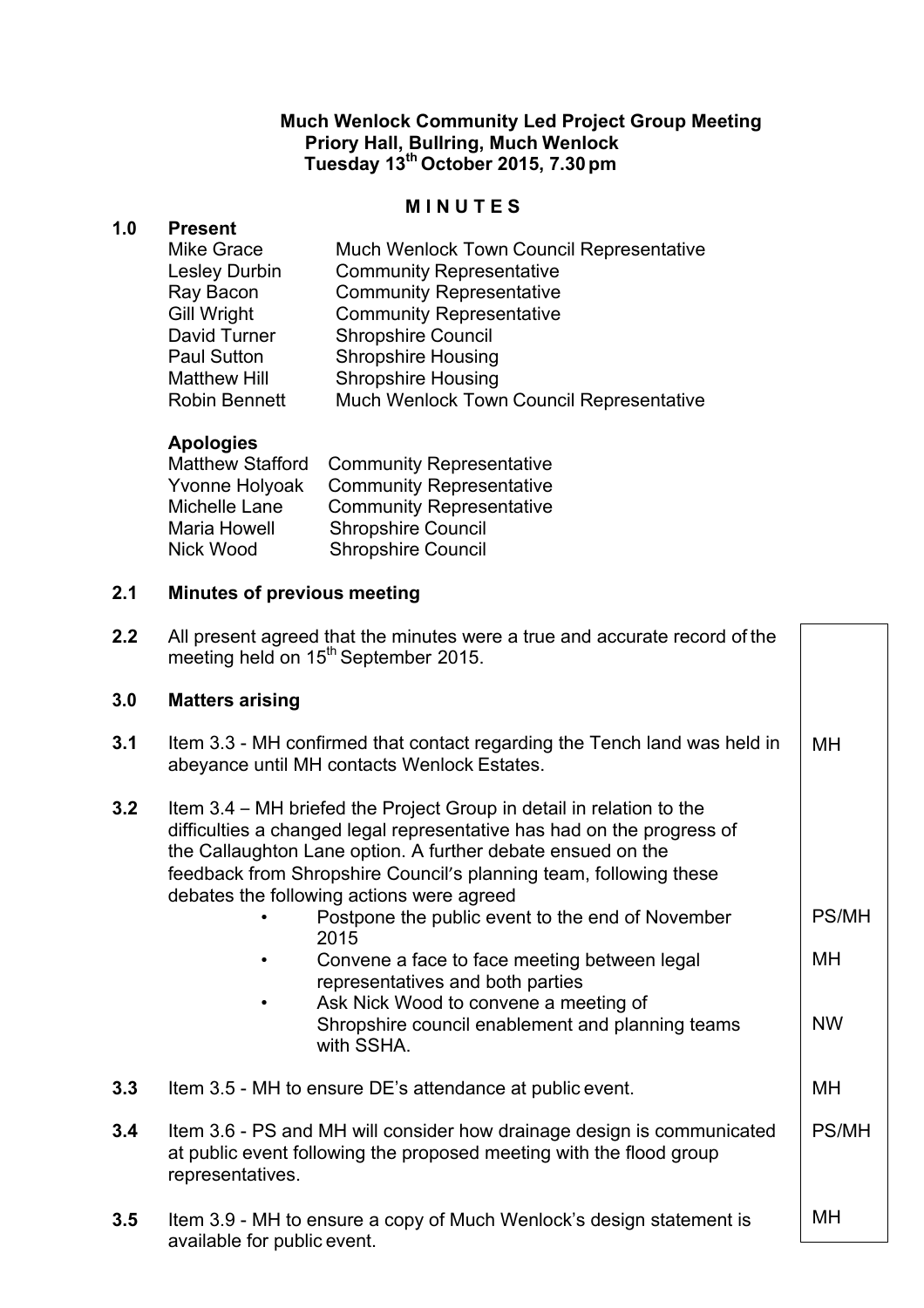## **Much Wenlock Community Led Project Group Meeting Priory Hall, Bullring, Much Wenlock Tuesday 13th October 2015, 7.30 pm**

#### **M I N U T E S**

#### **1.0 Present**

| Mike Grace           | <b>Much Wenlock Town Council Representative</b> |
|----------------------|-------------------------------------------------|
| <b>Lesley Durbin</b> | <b>Community Representative</b>                 |
| Ray Bacon            | <b>Community Representative</b>                 |
| <b>Gill Wright</b>   | <b>Community Representative</b>                 |
| David Turner         | <b>Shropshire Council</b>                       |
| <b>Paul Sutton</b>   | <b>Shropshire Housing</b>                       |
| <b>Matthew Hill</b>  | <b>Shropshire Housing</b>                       |
| <b>Robin Bennett</b> | <b>Much Wenlock Town Council Representative</b> |

## **Apologies**

| Matthew Stafford | <b>Community Representative</b> |
|------------------|---------------------------------|
| Yvonne Holyoak   | <b>Community Representative</b> |
| Michelle Lane    | <b>Community Representative</b> |
| Maria Howell     | <b>Shropshire Council</b>       |
| Nick Wood        | <b>Shropshire Council</b>       |
|                  |                                 |

## **2.1 Minutes of previous meeting**

**2.2** All present agreed that the minutes were a true and accurate record of the meeting held on 15<sup>th</sup> September 2015.

#### **3.0 Matters arising**

- **3.1** Item 3.3 MH confirmed that contact regarding the Tench land was held in abeyance until MH contacts Wenlock Estates. MH
- **3.2** Item 3.4 MH briefed the Project Group in detail in relation to the difficulties a changed legal representative has had on the progress of the Callaughton Lane option. A further debate ensued on the feedback from Shropshire Council's planning team, following these debates the following actions were agreed
	- Postpone the public event to the end of November 2015 • Convene a face to face meeting between legal representatives and both parties PS/MH MH

NW

- Ask Nick Wood to convene a meeting of Shropshire council enablement and planning teams with SSHA.
- **3.3** Item 3.5 MH to ensure DE's attendance at public event. MH
- **3.4** Item 3.6 PS and MH will consider how drainage design is communicated at public event following the proposed meeting with the flood group representatives. PS/MH
- **3.5** Item 3.9 MH to ensure a copy of Much Wenlock's design statement is available for public event. MH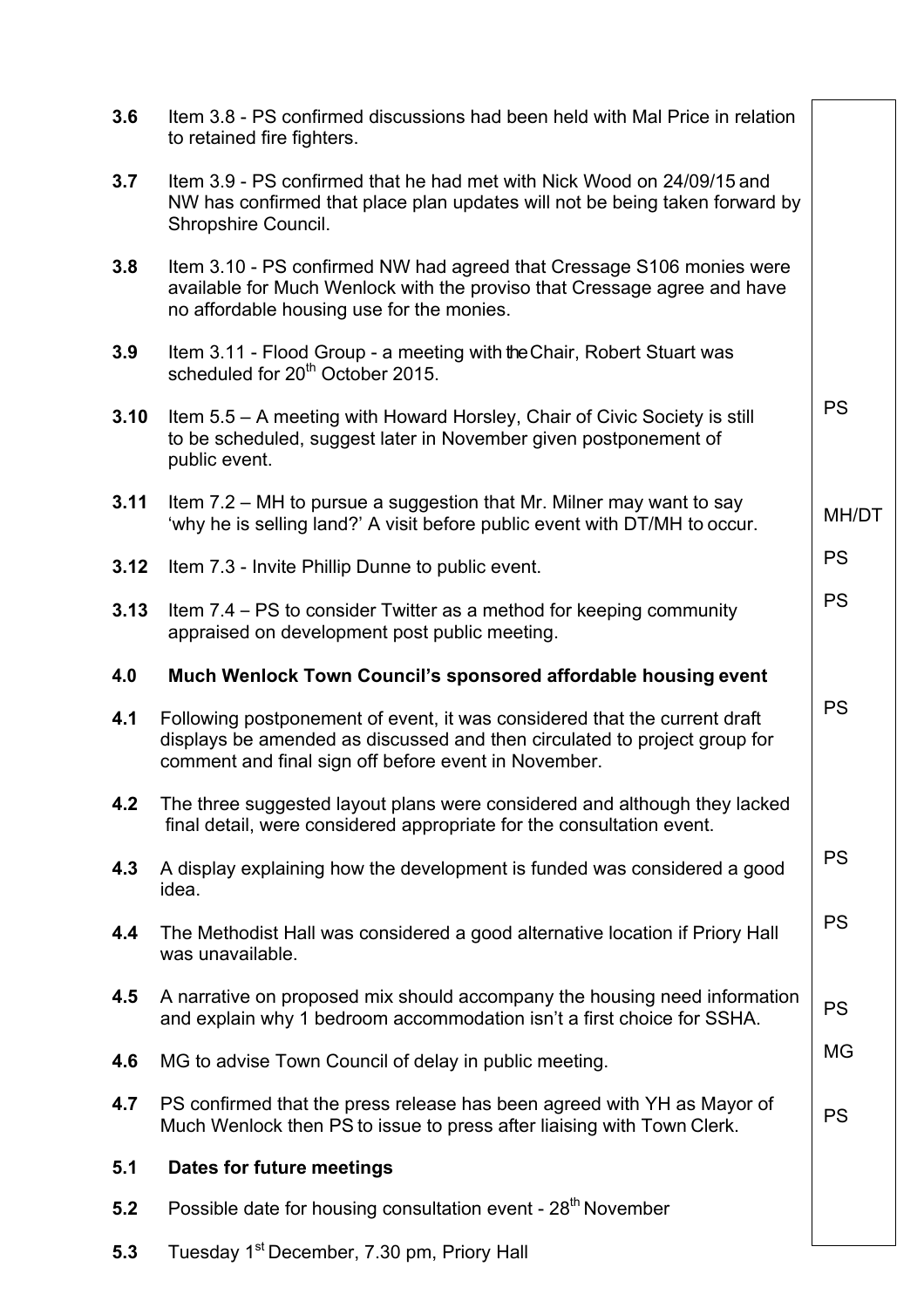| 3.6  | Item 3.8 - PS confirmed discussions had been held with Mal Price in relation<br>to retained fire fighters.                                                                                                     |           |
|------|----------------------------------------------------------------------------------------------------------------------------------------------------------------------------------------------------------------|-----------|
| 3.7  | Item 3.9 - PS confirmed that he had met with Nick Wood on 24/09/15 and<br>NW has confirmed that place plan updates will not be being taken forward by<br>Shropshire Council.                                   |           |
| 3.8  | Item 3.10 - PS confirmed NW had agreed that Cressage S106 monies were<br>available for Much Wenlock with the proviso that Cressage agree and have<br>no affordable housing use for the monies.                 |           |
| 3.9  | Item 3.11 - Flood Group - a meeting with the Chair, Robert Stuart was<br>scheduled for 20 <sup>th</sup> October 2015.                                                                                          |           |
| 3.10 | Item 5.5 – A meeting with Howard Horsley, Chair of Civic Society is still<br>to be scheduled, suggest later in November given postponement of<br>public event.                                                 | <b>PS</b> |
| 3.11 | Item 7.2 – MH to pursue a suggestion that Mr. Milner may want to say<br>'why he is selling land?' A visit before public event with DT/MH to occur.                                                             | MH/DT     |
| 3.12 | Item 7.3 - Invite Phillip Dunne to public event.                                                                                                                                                               | <b>PS</b> |
| 3.13 | Item 7.4 – PS to consider Twitter as a method for keeping community<br>appraised on development post public meeting.                                                                                           | <b>PS</b> |
|      |                                                                                                                                                                                                                |           |
| 4.0  | Much Wenlock Town Council's sponsored affordable housing event                                                                                                                                                 |           |
| 4.1  | Following postponement of event, it was considered that the current draft<br>displays be amended as discussed and then circulated to project group for<br>comment and final sign off before event in November. | <b>PS</b> |
| 4.2  | The three suggested layout plans were considered and although they lacked<br>final detail, were considered appropriate for the consultation event.                                                             |           |
| 4.3  | A display explaining how the development is funded was considered a good<br>idea.                                                                                                                              | <b>PS</b> |
| 4.4  | The Methodist Hall was considered a good alternative location if Priory Hall<br>was unavailable.                                                                                                               | <b>PS</b> |
| 4.5  | A narrative on proposed mix should accompany the housing need information<br>and explain why 1 bedroom accommodation isn't a first choice for SSHA.                                                            | <b>PS</b> |
| 4.6  | MG to advise Town Council of delay in public meeting.                                                                                                                                                          | MG        |
| 4.7  | PS confirmed that the press release has been agreed with YH as Mayor of<br>Much Wenlock then PS to issue to press after liaising with Town Clerk.                                                              | <b>PS</b> |
| 5.1  | Dates for future meetings                                                                                                                                                                                      |           |

**5.3** Tuesday 1<sup>st</sup> December, 7.30 pm, Priory Hall